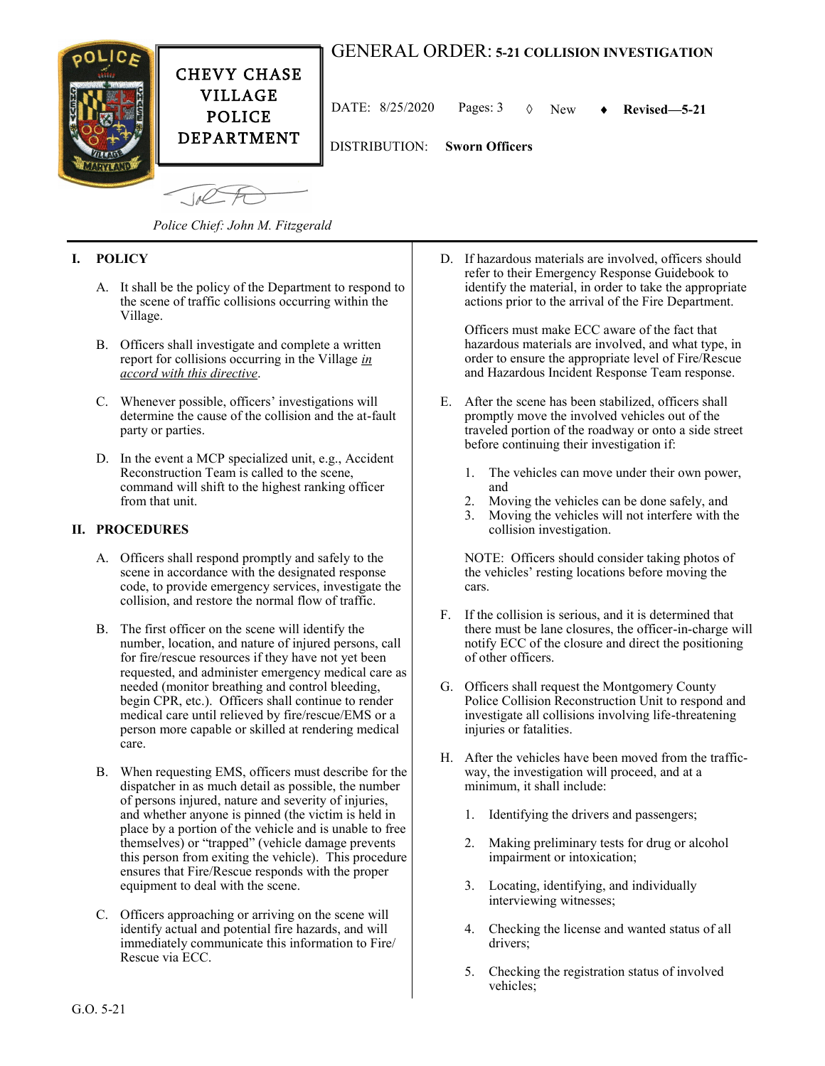

*Police Chief: John M. Fitzgerald*

# **I. POLICY**

- A. It shall be the policy of the Department to respond to the scene of traffic collisions occurring within the Village.
- B. Officers shall investigate and complete a written report for collisions occurring in the Village *in accord with this directive*.
- C. Whenever possible, officers' investigations will determine the cause of the collision and the at-fault party or parties.
- D. In the event a MCP specialized unit, e.g., Accident Reconstruction Team is called to the scene, command will shift to the highest ranking officer from that unit.

### **II. PROCEDURES**

- A. Officers shall respond promptly and safely to the scene in accordance with the designated response code, to provide emergency services, investigate the collision, and restore the normal flow of traffic.
- B. The first officer on the scene will identify the number, location, and nature of injured persons, call for fire/rescue resources if they have not yet been requested, and administer emergency medical care as needed (monitor breathing and control bleeding, begin CPR, etc.). Officers shall continue to render medical care until relieved by fire/rescue/EMS or a person more capable or skilled at rendering medical care.
- B. When requesting EMS, officers must describe for the dispatcher in as much detail as possible, the number of persons injured, nature and severity of injuries, and whether anyone is pinned (the victim is held in place by a portion of the vehicle and is unable to free themselves) or "trapped" (vehicle damage prevents this person from exiting the vehicle). This procedure ensures that Fire/Rescue responds with the proper equipment to deal with the scene.
- C. Officers approaching or arriving on the scene will identify actual and potential fire hazards, and will immediately communicate this information to Fire/ Rescue via ECC.

D. If hazardous materials are involved, officers should refer to their Emergency Response Guidebook to identify the material, in order to take the appropriate actions prior to the arrival of the Fire Department.

Officers must make ECC aware of the fact that hazardous materials are involved, and what type, in order to ensure the appropriate level of Fire/Rescue and Hazardous Incident Response Team response.

- E. After the scene has been stabilized, officers shall promptly move the involved vehicles out of the traveled portion of the roadway or onto a side street before continuing their investigation if:
	- 1. The vehicles can move under their own power, and
	- 2. Moving the vehicles can be done safely, and
	- 3. Moving the vehicles will not interfere with the collision investigation.

NOTE: Officers should consider taking photos of the vehicles' resting locations before moving the cars.

- F. If the collision is serious, and it is determined that there must be lane closures, the officer-in-charge will notify ECC of the closure and direct the positioning of other officers.
- G. Officers shall request the Montgomery County Police Collision Reconstruction Unit to respond and investigate all collisions involving life-threatening injuries or fatalities.
- H. After the vehicles have been moved from the trafficway, the investigation will proceed, and at a minimum, it shall include:
	- 1. Identifying the drivers and passengers;
	- 2. Making preliminary tests for drug or alcohol impairment or intoxication;
	- 3. Locating, identifying, and individually interviewing witnesses;
	- 4. Checking the license and wanted status of all drivers;
	- 5. Checking the registration status of involved vehicles;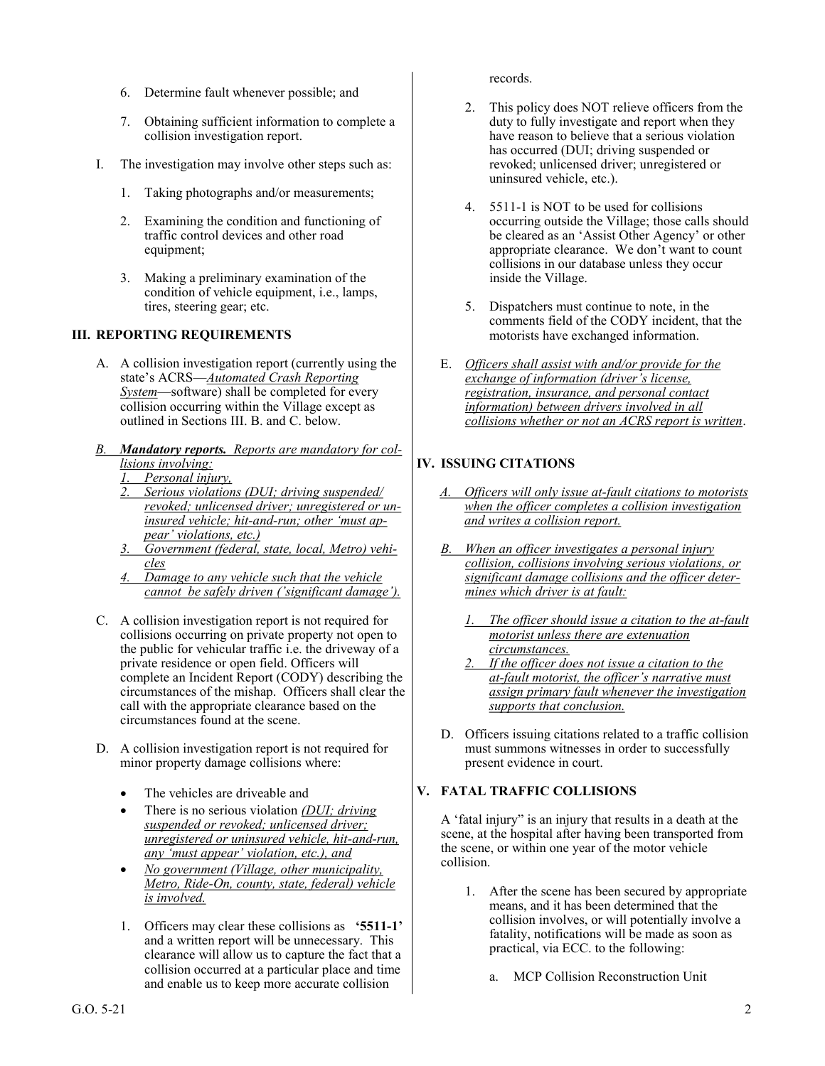- 6. Determine fault whenever possible; and
- 7. Obtaining sufficient information to complete a collision investigation report.
- I. The investigation may involve other steps such as:
	- 1. Taking photographs and/or measurements;
	- 2. Examining the condition and functioning of traffic control devices and other road equipment;
	- 3. Making a preliminary examination of the condition of vehicle equipment, i.e., lamps, tires, steering gear; etc.

# **III. REPORTING REQUIREMENTS**

- A. A collision investigation report (currently using the state's ACRS—*Automated Crash Reporting System*—software) shall be completed for every collision occurring within the Village except as outlined in Sections III. B. and C. below.
- *B. Mandatory reports. Reports are mandatory for collisions involving:*
	- *1. Personal injury,*
	- *2. Serious violations (DUI; driving suspended/ revoked; unlicensed driver; unregistered or uninsured vehicle; hit-and-run; other 'must appear' violations, etc.)*
	- *3. Government (federal, state, local, Metro) vehicles*
	- *4. Damage to any vehicle such that the vehicle cannot be safely driven ('significant damage').*
- C. A collision investigation report is not required for collisions occurring on private property not open to the public for vehicular traffic i.e. the driveway of a private residence or open field. Officers will complete an Incident Report (CODY) describing the circumstances of the mishap. Officers shall clear the call with the appropriate clearance based on the circumstances found at the scene.
- D. A collision investigation report is not required for minor property damage collisions where:
	- The vehicles are driveable and
	- There is no serious violation *(DUI; driving suspended or revoked; unlicensed driver; unregistered or uninsured vehicle, hit-and-run, any 'must appear' violation, etc.), and*
	- *No government (Village, other municipality, Metro, Ride-On, county, state, federal) vehicle is involved.*
	- 1. Officers may clear these collisions as **'5511-1'** and a written report will be unnecessary. This clearance will allow us to capture the fact that a collision occurred at a particular place and time and enable us to keep more accurate collision

records.

- 2. This policy does NOT relieve officers from the duty to fully investigate and report when they have reason to believe that a serious violation has occurred (DUI; driving suspended or revoked; unlicensed driver; unregistered or uninsured vehicle, etc.).
- 4. 5511-1 is NOT to be used for collisions occurring outside the Village; those calls should be cleared as an 'Assist Other Agency' or other appropriate clearance. We don't want to count collisions in our database unless they occur inside the Village.
- 5. Dispatchers must continue to note, in the comments field of the CODY incident, that the motorists have exchanged information.
- E. *Officers shall assist with and/or provide for the exchange of information (driver's license, registration, insurance, and personal contact information) between drivers involved in all collisions whether or not an ACRS report is written*.

# **IV. ISSUING CITATIONS**

- *A. Officers will only issue at-fault citations to motorists when the officer completes a collision investigation and writes a collision report.*
- *B. When an officer investigates a personal injury collision, collisions involving serious violations, or significant damage collisions and the officer determines which driver is at fault:*
	- *1. The officer should issue a citation to the at-fault motorist unless there are extenuation circumstances.*
	- *2. If the officer does not issue a citation to the at-fault motorist, the officer's narrative must assign primary fault whenever the investigation supports that conclusion.*
- D. Officers issuing citations related to a traffic collision must summons witnesses in order to successfully present evidence in court.

## **V. FATAL TRAFFIC COLLISIONS**

A 'fatal injury" is an injury that results in a death at the scene, at the hospital after having been transported from the scene, or within one year of the motor vehicle collision.

- 1. After the scene has been secured by appropriate means, and it has been determined that the collision involves, or will potentially involve a fatality, notifications will be made as soon as practical, via ECC. to the following:
	- a. MCP Collision Reconstruction Unit